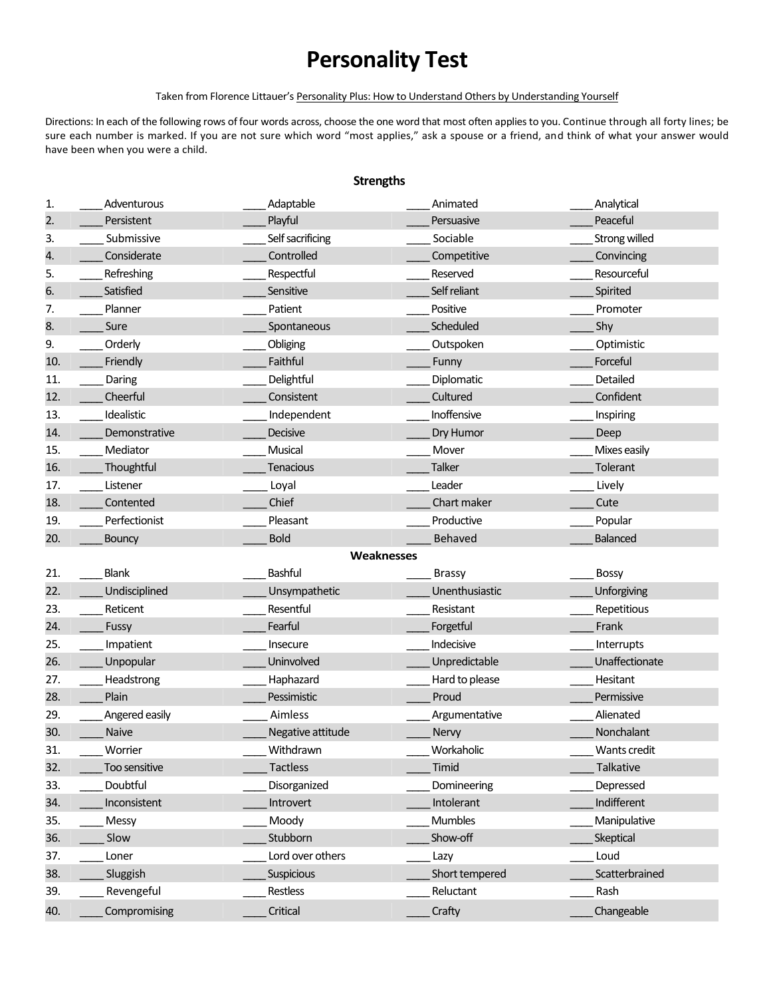# **Personality Test**

#### Taken from Florence Littauer's Personality Plus: How to Understand Others by Understanding Yourself

Directions: In each of the following rows of four words across, choose the one word that most often applies to you. Continue through all forty lines; be sure each number is marked. If you are not sure which word "most applies," ask a spouse or a friend, and think of what your answer would have been when you were a child.

### **Strengths**

| 1.                | Adventurous    | Adaptable         | Animated       | Analytical      |  |  |
|-------------------|----------------|-------------------|----------------|-----------------|--|--|
| 2.                | Persistent     | Playful           | Persuasive     | Peaceful        |  |  |
| 3.                | Submissive     | Self sacrificing  | Sociable       | Strong willed   |  |  |
| 4.                | Considerate    | Controlled        | Competitive    | Convincing      |  |  |
| 5.                | Refreshing     | Respectful        | Reserved       | Resourceful     |  |  |
| 6.                | Satisfied      | Sensitive         | Self reliant   | Spirited        |  |  |
| 7.                | Planner        | Patient           | Positive       | Promoter        |  |  |
| 8.                | Sure           | Spontaneous       | Scheduled      | Shy             |  |  |
| 9.                | Orderly        | Obliging          | Outspoken      | Optimistic      |  |  |
| 10.               | Friendly       | Faithful          | Funny          | Forceful        |  |  |
| 11.               | Daring         | Delightful        | Diplomatic     | Detailed        |  |  |
| 12.               | Cheerful       | Consistent        | Cultured       | Confident       |  |  |
| 13.               | Idealistic     | Independent       | Inoffensive    | Inspiring       |  |  |
| 14.               | Demonstrative  | Decisive          | Dry Humor      | Deep            |  |  |
| 15.               | Mediator       | Musical           | Mover          | Mixes easily    |  |  |
| 16.               | Thoughtful     | <b>Tenacious</b>  | <b>Talker</b>  | Tolerant        |  |  |
| 17.               | Listener       | Loyal             | Leader         | Lively          |  |  |
| 18.               | Contented      | Chief             | Chart maker    | Cute            |  |  |
| 19.               | Perfectionist  | Pleasant          | Productive     | Popular         |  |  |
| 20.               | <b>Bouncy</b>  | <b>Bold</b>       | Behaved        | <b>Balanced</b> |  |  |
| <b>Weaknesses</b> |                |                   |                |                 |  |  |
|                   |                |                   |                |                 |  |  |
| 21.               | Blank          | <b>Bashful</b>    | <b>Brassy</b>  | <b>Bossy</b>    |  |  |
| 22.               | Undisciplined  | Unsympathetic     | Unenthusiastic | Unforgiving     |  |  |
| 23.               | Reticent       | Resentful         | Resistant      | Repetitious     |  |  |
| 24.               | Fussy          | Fearful           | Forgetful      | Frank           |  |  |
| 25.               | Impatient      | Insecure          | Indecisive     | Interrupts      |  |  |
| 26.               | Unpopular      | Uninvolved        | Unpredictable  | Unaffectionate  |  |  |
| 27.               | Headstrong     | Haphazard         | Hard to please | Hesitant        |  |  |
| 28.               | Plain          | Pessimistic       | Proud          | Permissive      |  |  |
| 29.               | Angered easily | Aimless           | Argumentative  | Alienated       |  |  |
| 30.               | Naive          | Negative attitude | Nervy          | Nonchalant      |  |  |
| 31.               | Worrier        | Withdrawn         | Workaholic     | Wants credit    |  |  |
| 32.               | Too sensitive  | <b>Tactless</b>   | Timid          | Talkative       |  |  |
| 33.               | Doubtful       | Disorganized      | Domineering    | Depressed       |  |  |
| 34.               | Inconsistent   | Introvert         | Intolerant     | Indifferent     |  |  |
| 35.               | Messy          | Moody             | Mumbles        | Manipulative    |  |  |
| 36.               | Slow           | Stubborn          | Show-off       | Skeptical       |  |  |
| 37.               | Loner          | Lord over others  | Lazy           | Loud            |  |  |
| 38.               | Sluggish       | <b>Suspicious</b> | Short tempered | Scatterbrained  |  |  |
| 39.               | Revengeful     | Restless          | Reluctant      | Rash            |  |  |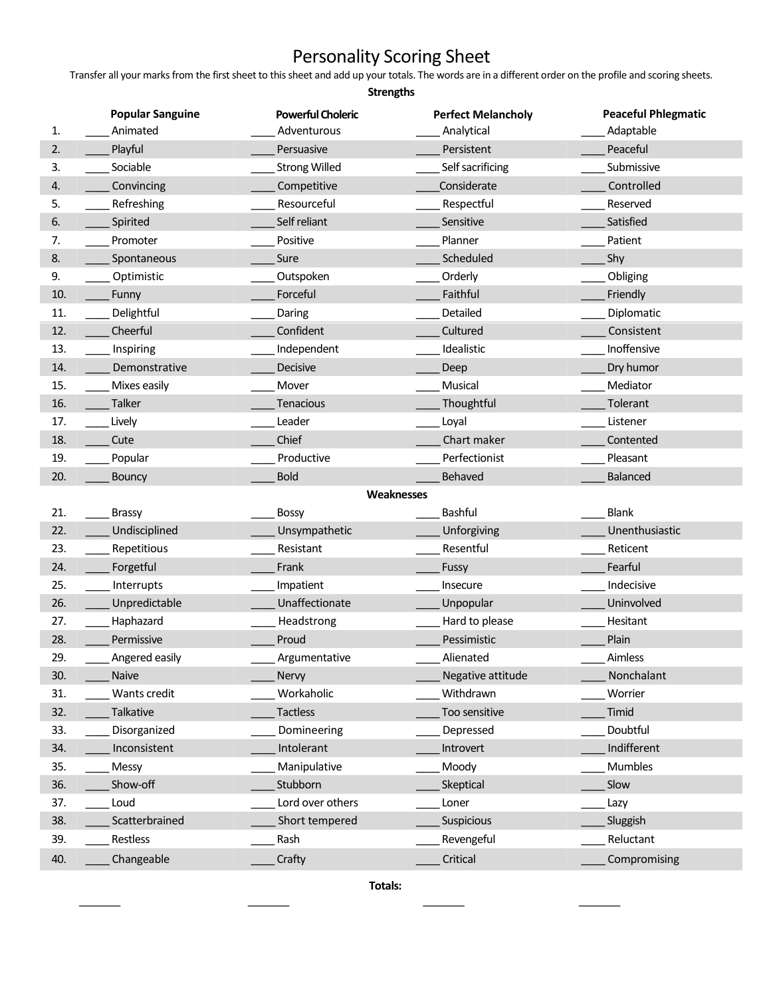## Personality Scoring Sheet

Transfer all your marks from the first sheet to this sheet and add up your totals. The words are in a different order on the profile and scoring sheets.

| <b>Strengths</b> |                         |                          |                           |                            |  |  |
|------------------|-------------------------|--------------------------|---------------------------|----------------------------|--|--|
|                  | <b>Popular Sanguine</b> | <b>Powerful Choleric</b> | <b>Perfect Melancholy</b> | <b>Peaceful Phlegmatic</b> |  |  |
| 1.               | Animated                | Adventurous              | Analytical                | Adaptable                  |  |  |
| 2.               | Playful                 | Persuasive               | Persistent                | Peaceful                   |  |  |
| 3.               | Sociable                | <b>Strong Willed</b>     | Self sacrificing          | Submissive                 |  |  |
| 4.               | Convincing              | Competitive              | Considerate               | Controlled                 |  |  |
| 5.               | Refreshing              | Resourceful              | Respectful                | Reserved                   |  |  |
| 6.               | Spirited                | Self reliant             | Sensitive                 | Satisfied                  |  |  |
| 7.               | Promoter                | Positive                 | Planner                   | Patient                    |  |  |
| 8.               | Spontaneous             | Sure                     | Scheduled                 | Shy                        |  |  |
| 9.               | Optimistic              | Outspoken                | Orderly                   | Obliging                   |  |  |
| 10.              | Funny                   | Forceful                 | Faithful                  | Friendly                   |  |  |
| 11.              | Delightful              | Daring                   | Detailed                  | Diplomatic                 |  |  |
| 12.              | Cheerful                | Confident                | Cultured                  | Consistent                 |  |  |
| 13.              | Inspiring               | Independent              | Idealistic                | Inoffensive                |  |  |
| 14.              | Demonstrative           | <b>Decisive</b>          | Deep                      | Dry humor                  |  |  |
| 15.              | Mixes easily            | Mover                    | Musical                   | Mediator                   |  |  |
| 16.              | <b>Talker</b>           | <b>Tenacious</b>         | Thoughtful                | Tolerant                   |  |  |
| 17.              | Lively                  | Leader                   | Loyal                     | Listener                   |  |  |
| 18.              | Cute                    | Chief                    | Chart maker               | Contented                  |  |  |
| 19.              | Popular                 | Productive               | Perfectionist             | Pleasant                   |  |  |
| 20.              | <b>Bouncy</b>           | <b>Bold</b>              | Behaved                   | <b>Balanced</b>            |  |  |
|                  |                         |                          | Weaknesses                |                            |  |  |
| 21.              | <b>Brassy</b>           | <b>Bossy</b>             | Bashful                   | <b>Blank</b>               |  |  |
| 22.              | Undisciplined           | Unsympathetic            | Unforgiving               | Unenthusiastic             |  |  |
| 23.              | Repetitious             | Resistant                | Resentful                 | Reticent                   |  |  |
| 24.              | Forgetful               | Frank                    | Fussy                     | Fearful                    |  |  |
| 25.              | Interrupts              | Impatient                | Insecure                  | Indecisive                 |  |  |
| 26.              | Unpredictable           | Unaffectionate           | Unpopular                 | Uninvolved                 |  |  |
| 27.              | Haphazard               | Headstrong               | Hard to please            | Hesitant                   |  |  |
| 28.              | Permissive              | Proud                    | Pessimistic               | Plain                      |  |  |
| 29.              | Angered easily          | Argumentative            | Alienated                 | Aimless                    |  |  |
| 30.              | Naive                   | Nervy                    | Negative attitude         | Nonchalant                 |  |  |
| 31.              | Wants credit            | Workaholic               | Withdrawn                 | Worrier                    |  |  |
| 32.              | Talkative               | <b>Tactless</b>          | Too sensitive             | Timid                      |  |  |
| 33.              | Disorganized            | Domineering              | Depressed                 | Doubtful                   |  |  |
| 34.              | Inconsistent            | Intolerant               | Introvert                 | Indifferent                |  |  |
| 35.              | Messy                   | Manipulative             | Moody                     | Mumbles                    |  |  |
| 36.              | Show-off                | Stubborn                 | Skeptical                 | Slow                       |  |  |
| 37.              | Loud                    | Lord over others         | Loner                     | Lazy                       |  |  |
| 38.              | Scatterbrained          | Short tempered           | Suspicious                | Sluggish                   |  |  |
| 39.              | Restless                | Rash                     | Revengeful                | Reluctant                  |  |  |
| 40.              | Changeable              | Crafty                   | Critical                  | Compromising               |  |  |

**Totals:**

\_\_\_\_\_\_\_ \_\_\_\_\_\_\_ \_\_\_\_\_\_\_ \_\_\_\_\_\_\_